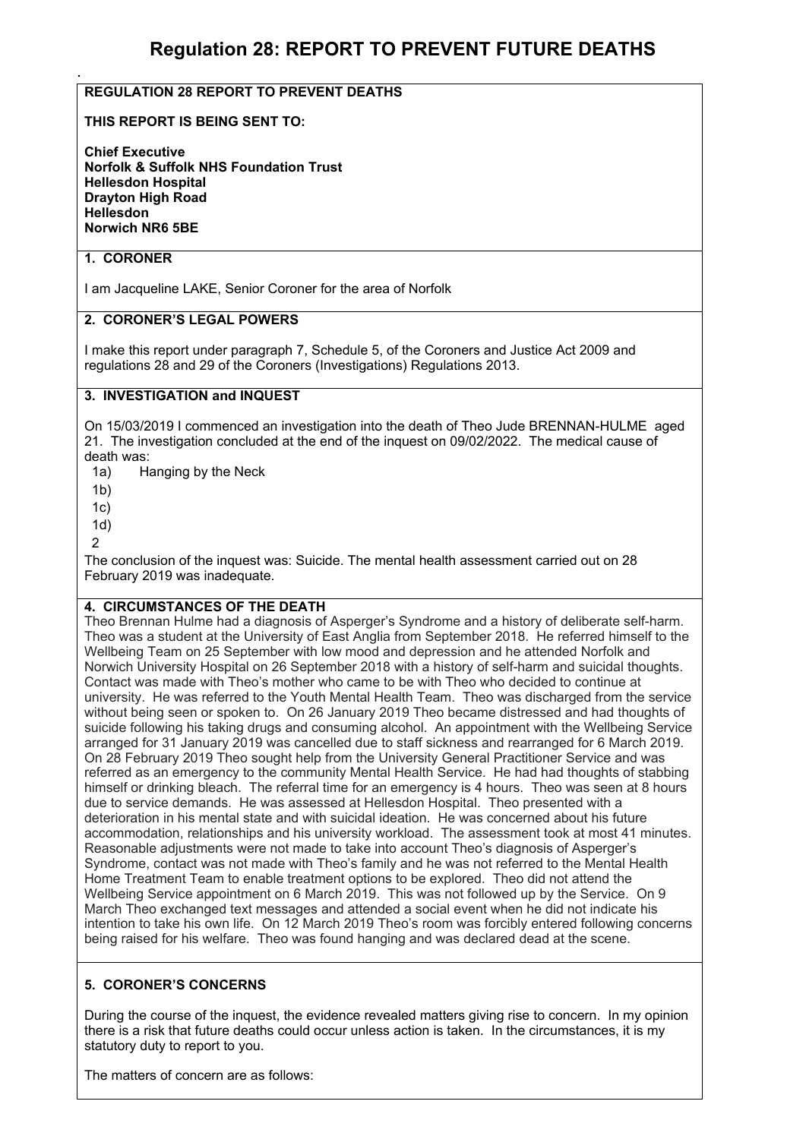# **Regulation 28: REPORT TO PREVENT FUTURE DEATHS**

## **REGULATION 28 REPORT TO PREVENT DEATHS**

#### **THIS REPORT IS BEING SENT TO:**

**Chief Executive Norfolk & Suffolk NHS Foundation Trust Hellesdon Hospital Drayton High Road Hellesdon Norwich NR6 5BE** 

## **1. CORONER**

.

I am Jacqueline LAKE, Senior Coroner for the area of Norfolk

#### **2. CORONER'S LEGAL POWERS**

I make this report under paragraph 7, Schedule 5, of the Coroners and Justice Act 2009 and regulations 28 and 29 of the Coroners (Investigations) Regulations 2013.

#### **3. INVESTIGATION and INQUEST**

On 15/03/2019 I commenced an investigation into the death of Theo Jude BRENNAN-HULME aged 21. The investigation concluded at the end of the inquest on 09/02/2022. The medical cause of death was:

1a) Hanging by the Neck

- 1b)
- 1c)
- 1d)
- $\mathfrak{D}$

The conclusion of the inquest was: Suicide. The mental health assessment carried out on 28 February 2019 was inadequate.

#### **4. CIRCUMSTANCES OF THE DEATH**

Theo Brennan Hulme had a diagnosis of Asperger's Syndrome and a history of deliberate self-harm. Theo was a student at the University of East Anglia from September 2018. He referred himself to the Wellbeing Team on 25 September with low mood and depression and he attended Norfolk and Norwich University Hospital on 26 September 2018 with a history of self-harm and suicidal thoughts. Contact was made with Theo's mother who came to be with Theo who decided to continue at university. He was referred to the Youth Mental Health Team. Theo was discharged from the service without being seen or spoken to. On 26 January 2019 Theo became distressed and had thoughts of suicide following his taking drugs and consuming alcohol. An appointment with the Wellbeing Service arranged for 31 January 2019 was cancelled due to staff sickness and rearranged for 6 March 2019. On 28 February 2019 Theo sought help from the University General Practitioner Service and was referred as an emergency to the community Mental Health Service. He had had thoughts of stabbing himself or drinking bleach. The referral time for an emergency is 4 hours. Theo was seen at 8 hours due to service demands. He was assessed at Hellesdon Hospital. Theo presented with a deterioration in his mental state and with suicidal ideation. He was concerned about his future accommodation, relationships and his university workload. The assessment took at most 41 minutes. Reasonable adjustments were not made to take into account Theo's diagnosis of Asperger's Syndrome, contact was not made with Theo's family and he was not referred to the Mental Health Home Treatment Team to enable treatment options to be explored. Theo did not attend the Wellbeing Service appointment on 6 March 2019. This was not followed up by the Service. On 9 March Theo exchanged text messages and attended a social event when he did not indicate his intention to take his own life. On 12 March 2019 Theo's room was forcibly entered following concerns being raised for his welfare. Theo was found hanging and was declared dead at the scene.

#### **5. CORONER'S CONCERNS**

During the course of the inquest, the evidence revealed matters giving rise to concern. In my opinion there is a risk that future deaths could occur unless action is taken. In the circumstances, it is my statutory duty to report to you.

The matters of concern are as follows: